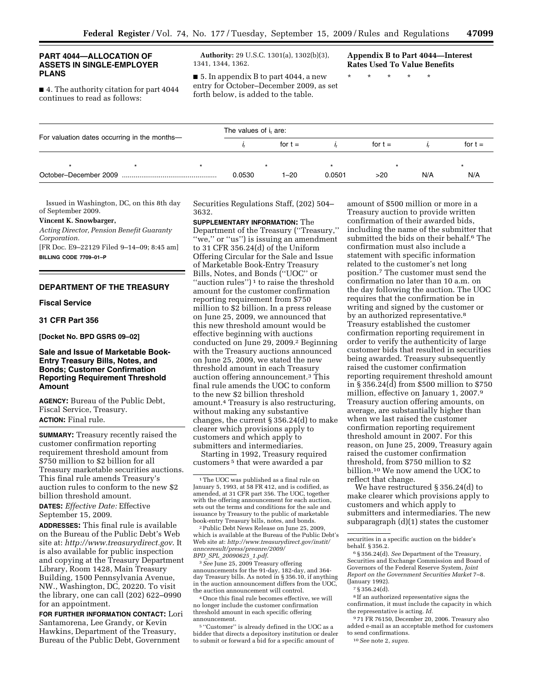# **ASSETS IN SINGLE-EMPLOYER**

■ 4. The authority citation for part 4044 for the october–December 2009 continues to read as follows: forth below, is added to the table.

**PART 4044—ALLOCATION OF Authority:** 29 U.S.C. 1301(a), 1302(b)(3), **Appendix B to Part 4044—Interest <br>
<b>ASSETS IN SINGLE-EMPLOYER** 1341, 1344, 1362. **Rates Used To Value Benefits** 

**PLANS** ■ 5. In appendix B to part 4044, a new \* \* \* \* \*

| For valuation dates occurring in the months- |         |  | The values of i <sub>t</sub> are: |           |        |           |     |           |
|----------------------------------------------|---------|--|-----------------------------------|-----------|--------|-----------|-----|-----------|
|                                              |         |  |                                   | for $t =$ |        | for $t =$ |     | for $t =$ |
|                                              | $\star$ |  |                                   |           |        |           |     |           |
|                                              |         |  | 0.0530                            | $1 - 20$  | 0.0501 | >20       | N/A | N/A       |

Issued in Washington, DC, on this 8th day of September 2009.

# **Vincent K. Snowbarger,**

*Acting Director, Pension Benefit Guaranty Corporation.* 

[FR Doc. E9–22129 Filed 9–14–09; 8:45 am] **BILLING CODE 7709–01–P** 

# **DEPARTMENT OF THE TREASURY**

## **Fiscal Service**

# **31 CFR Part 356**

**[Docket No. BPD GSRS 09–02]** 

# **Sale and Issue of Marketable Book-Entry Treasury Bills, Notes, and Bonds; Customer Confirmation Reporting Requirement Threshold Amount**

**AGENCY:** Bureau of the Public Debt, Fiscal Service, Treasury. **ACTION:** Final rule.

**SUMMARY:** Treasury recently raised the customer confirmation reporting requirement threshold amount from \$750 million to \$2 billion for all Treasury marketable securities auctions. This final rule amends Treasury's auction rules to conform to the new \$2 billion threshold amount.

**DATES:** *Effective Date:* Effective September 15, 2009.

**ADDRESSES:** This final rule is available on the Bureau of the Public Debt's Web site at: *<http://www.treasurydirect.gov>*. It is also available for public inspection and copying at the Treasury Department Library, Room 1428, Main Treasury Building, 1500 Pennsylvania Avenue, NW., Washington, DC, 20220. To visit the library, one can call (202) 622–0990 for an appointment.

**FOR FURTHER INFORMATION CONTACT:** Lori Santamorena, Lee Grandy, or Kevin Hawkins, Department of the Treasury, Bureau of the Public Debt, Government

Securities Regulations Staff, (202) 504– 3632.

# **SUPPLEMENTARY INFORMATION:** The

Department of the Treasury (''Treasury,'' "we," or "us") is issuing an amendment to 31 CFR 356.24(d) of the Uniform Offering Circular for the Sale and Issue of Marketable Book-Entry Treasury Bills, Notes, and Bonds (''UOC'' or "auction rules") $<sup>1</sup>$  to raise the threshold</sup> amount for the customer confirmation reporting requirement from \$750 million to \$2 billion. In a press release on June 25, 2009, we announced that this new threshold amount would be effective beginning with auctions conducted on June 29, 2009.2 Beginning with the Treasury auctions announced on June 25, 2009, we stated the new threshold amount in each Treasury auction offering announcement.3 This final rule amends the UOC to conform to the new \$2 billion threshold amount.4 Treasury is also restructuring, without making any substantive changes, the current § 356.24(d) to make clearer which provisions apply to customers and which apply to submitters and intermediaries.

Starting in 1992, Treasury required customers 5 that were awarded a par

2 Public Debt News Release on June 25, 2009, which is available at the Bureau of the Public Debt's Web site at: *[http://www.treasurydirect.gov/instit/](http://www.treasurydirect.gov/instit/annceresult/press/preanre/2009/BPD_SPL_20090625_1.pdf)  annceresult/press/preanre/2009/ BPD*\_*SPL*\_*20090625*\_*1.pdf*.

3 *See* June 25, 2009 Treasury offering announcements for the 91-day, 182-day, and 364 day Treasury bills. As noted in § 356.10, if anything in the auction announcement differs from the UOC, the auction announcement will control.

4 Once this final rule becomes effective, we will no longer include the customer confirmation threshold amount in each specific offering announcement.

5 ''Customer'' is already defined in the UOC as a bidder that directs a depository institution or dealer to submit or forward a bid for a specific amount of

amount of \$500 million or more in a Treasury auction to provide written confirmation of their awarded bids, including the name of the submitter that submitted the bids on their behalf.<sup>6</sup> The confirmation must also include a statement with specific information related to the customer's net long position.7 The customer must send the confirmation no later than 10 a.m. on the day following the auction. The UOC requires that the confirmation be in writing and signed by the customer or by an authorized representative.<sup>8</sup> Treasury established the customer confirmation reporting requirement in order to verify the authenticity of large customer bids that resulted in securities being awarded. Treasury subsequently raised the customer confirmation reporting requirement threshold amount in § 356.24(d) from \$500 million to \$750 million, effective on January 1, 2007.9 Treasury auction offering amounts, on average, are substantially higher than when we last raised the customer confirmation reporting requirement threshold amount in 2007. For this reason, on June 25, 2009, Treasury again raised the customer confirmation threshold, from \$750 million to \$2 billion.10 We now amend the UOC to reflect that change.

We have restructured § 356.24(d) to make clearer which provisions apply to customers and which apply to submitters and intermediaries. The new subparagraph (d)(1) states the customer

9 71 FR 76150, December 20, 2006. Treasury also added e-mail as an acceptable method for customers to send confirmations.

10 *See* note 2, *supra.* 

<sup>1</sup> The UOC was published as a final rule on January 5, 1993, at 58 FR 412, and is codified, as amended, at 31 CFR part 356. The UOC, together with the offering announcement for each auction, sets out the terms and conditions for the sale and issuance by Treasury to the public of marketable book-entry Treasury bills, notes, and bonds.

securities in a specific auction on the bidder's behalf. § 356.2.

<sup>6 § 356.24(</sup>d). *See* Department of the Treasury, Securities and Exchange Commission and Board of Governors of the Federal Reserve System, *Joint Report on the Government Securities Market* 7–8. (January 1992).

<sup>7 § 356.24(</sup>d).

<sup>8</sup> If an authorized representative signs the confirmation, it must include the capacity in which the representative is acting. *Id.*